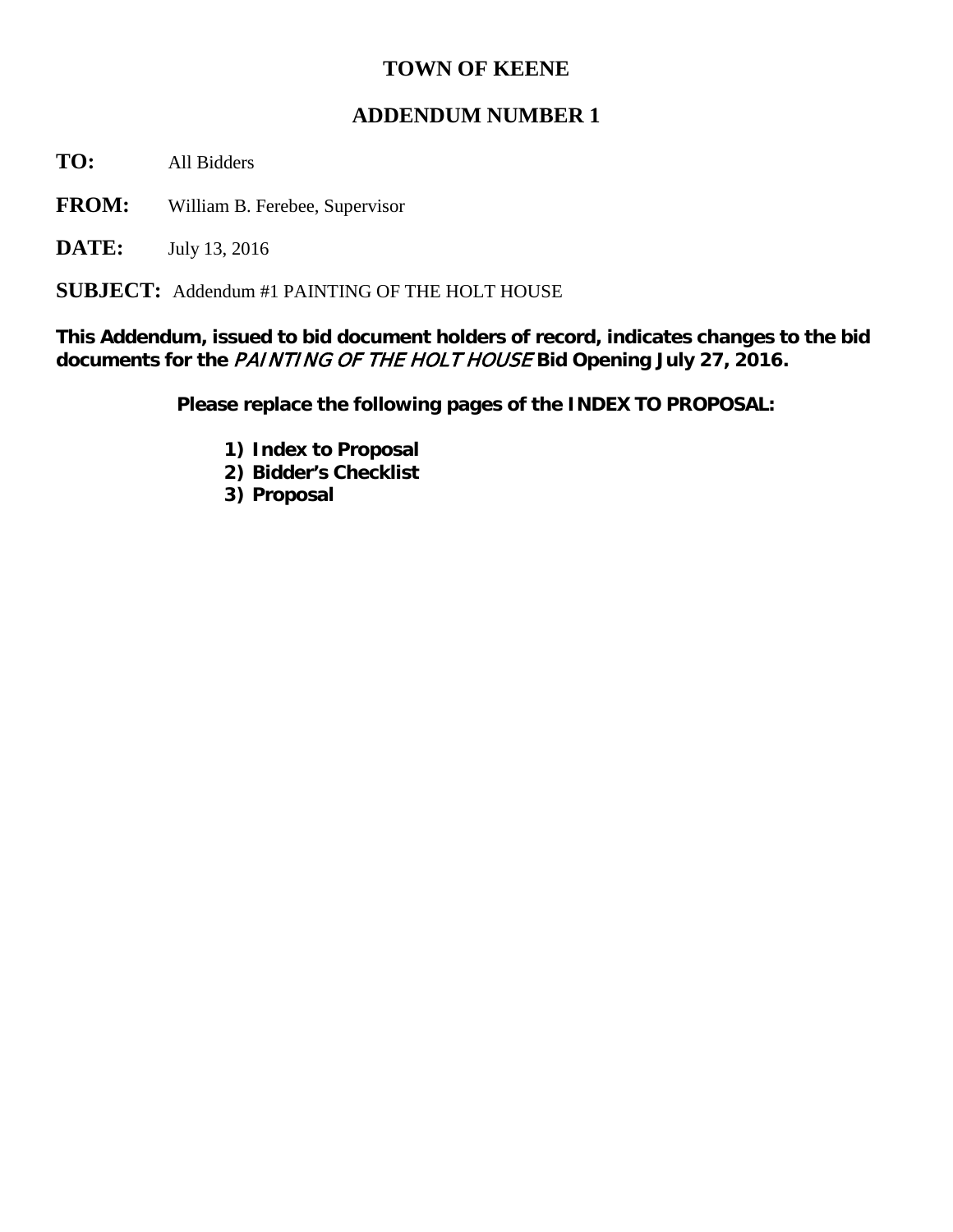## **TOWN OF KEENE**

## **ADDENDUM NUMBER 1**

**TO:** All Bidders

**FROM:** William B. Ferebee, Supervisor

**DATE:** July 13, 2016

**SUBJECT:** Addendum #1 PAINTING OF THE HOLT HOUSE

**This Addendum, issued to bid document holders of record, indicates changes to the bid documents for the** PAINTING OF THE HOLT HOUSE **Bid Opening July 27, 2016.**

**Please replace the following pages of the INDEX TO PROPOSAL:**

- **1) Index to Proposal**
- **2) Bidder's Checklist**
- **3) Proposal**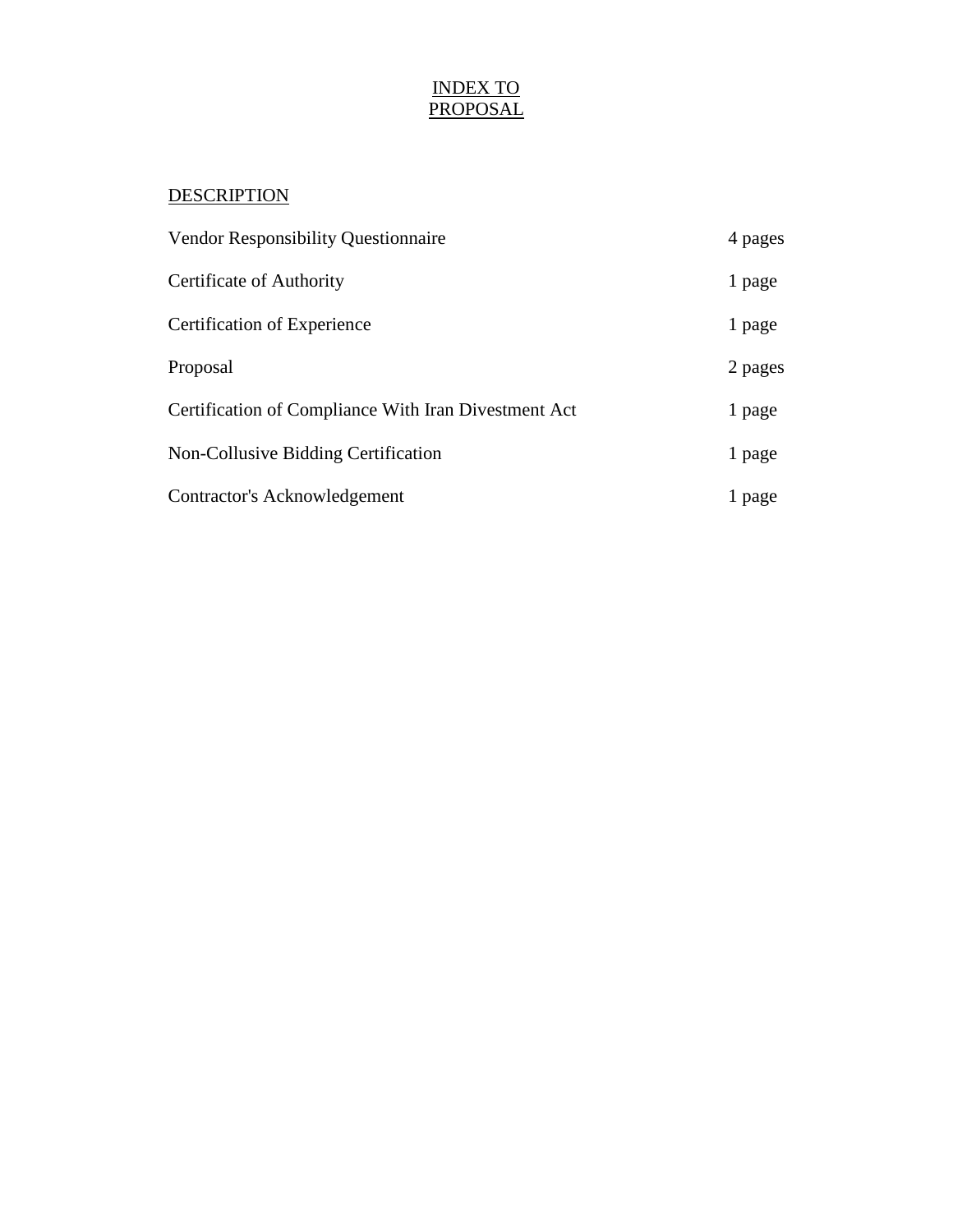## INDEX TO PROPOSAL

## **DESCRIPTION**

| <b>Vendor Responsibility Questionnaire</b>           | 4 pages |
|------------------------------------------------------|---------|
| Certificate of Authority                             | 1 page  |
| Certification of Experience                          | 1 page  |
| Proposal                                             | 2 pages |
| Certification of Compliance With Iran Divestment Act | 1 page  |
| <b>Non-Collusive Bidding Certification</b>           | 1 page  |
| Contractor's Acknowledgement                         | l page  |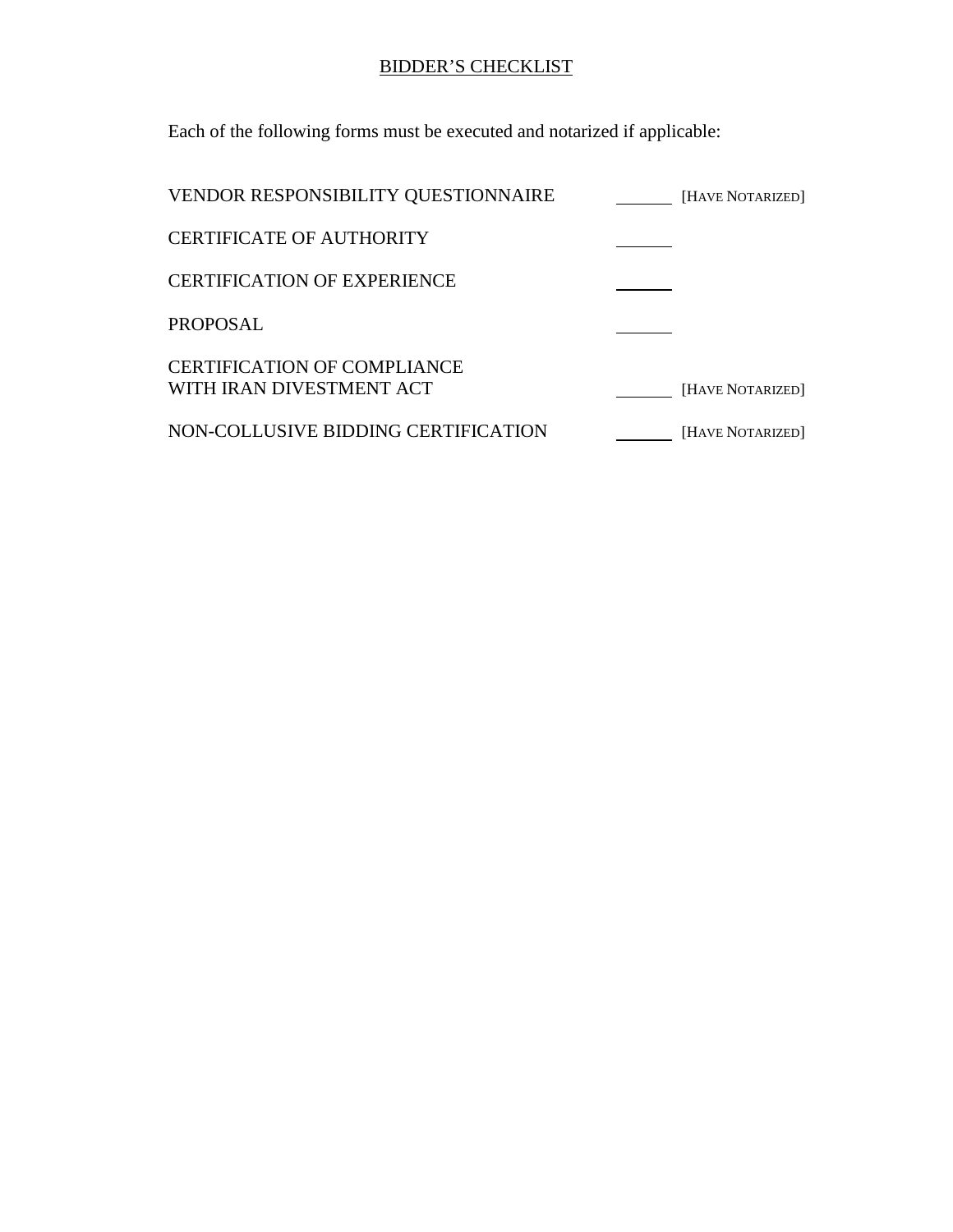# BIDDER'S CHECKLIST

Each of the following forms must be executed and notarized if applicable:

| VENDOR RESPONSIBILITY QUESTIONNAIRE                            | [HAVE NOTARIZED] |
|----------------------------------------------------------------|------------------|
| <b>CERTIFICATE OF AUTHORITY</b>                                |                  |
| <b>CERTIFICATION OF EXPERIENCE</b>                             |                  |
| <b>PROPOSAL</b>                                                |                  |
| <b>CERTIFICATION OF COMPLIANCE</b><br>WITH IRAN DIVESTMENT ACT | [HAVE NOTARIZED] |
| NON-COLLUSIVE BIDDING CERTIFICATION                            | [HAVE NOTARIZED] |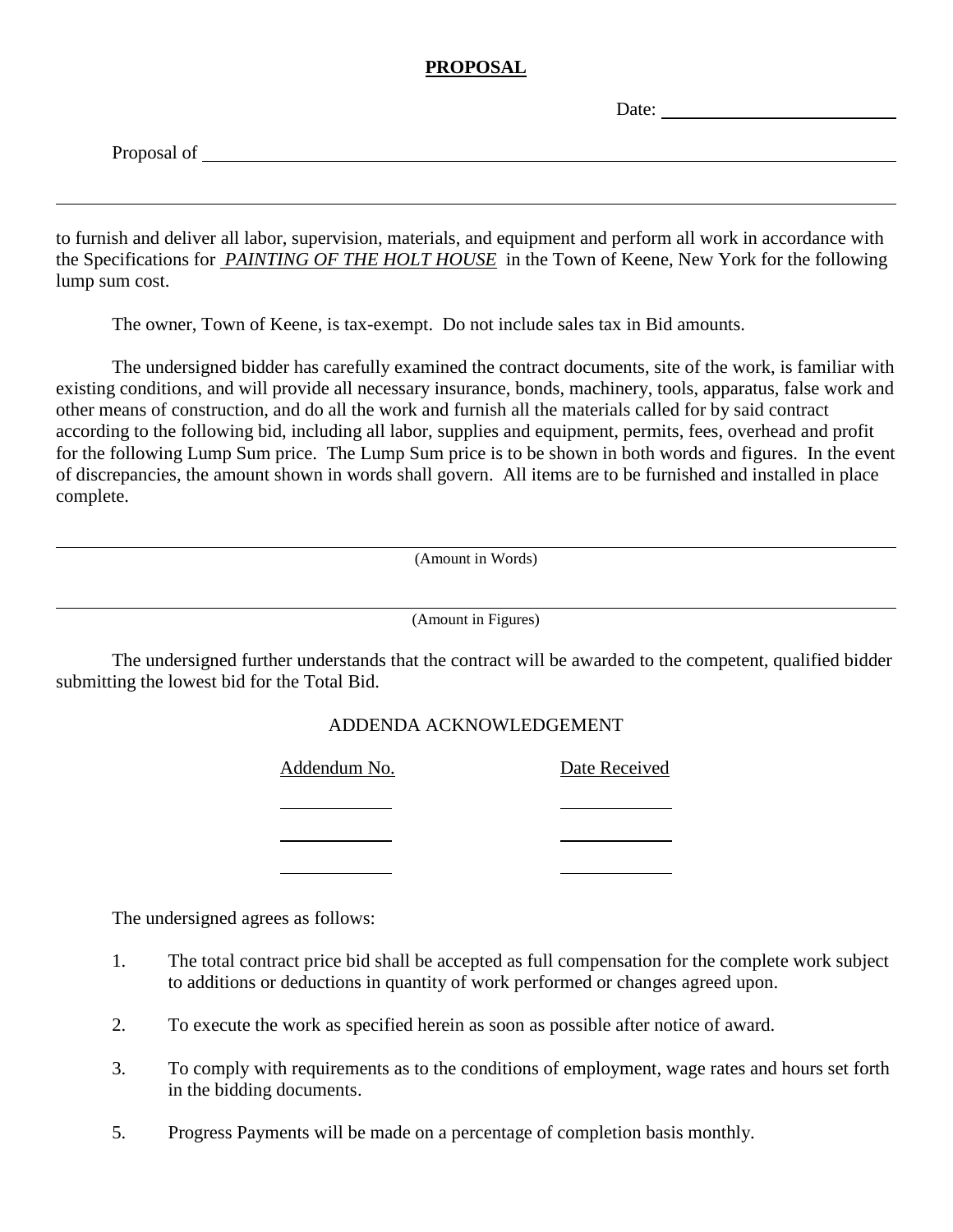#### **PROPOSAL**

Date:

Proposal of <u>the contract of the contract of the contract of the contract of the contract of the contract of the contract of the contract of the contract of the contract of the contract of the contract of the contract of t</u>

to furnish and deliver all labor, supervision, materials, and equipment and perform all work in accordance with the Specifications for *PAINTING OF THE HOLT HOUSE* in the Town of Keene, New York for the following lump sum cost.

The owner, Town of Keene, is tax-exempt. Do not include sales tax in Bid amounts.

The undersigned bidder has carefully examined the contract documents, site of the work, is familiar with existing conditions, and will provide all necessary insurance, bonds, machinery, tools, apparatus, false work and other means of construction, and do all the work and furnish all the materials called for by said contract according to the following bid, including all labor, supplies and equipment, permits, fees, overhead and profit for the following Lump Sum price. The Lump Sum price is to be shown in both words and figures. In the event of discrepancies, the amount shown in words shall govern. All items are to be furnished and installed in place complete.

(Amount in Words)

(Amount in Figures)

The undersigned further understands that the contract will be awarded to the competent, qualified bidder submitting the lowest bid for the Total Bid.

#### ADDENDA ACKNOWLEDGEMENT

Addendum No. Date Received

The undersigned agrees as follows:

- 1. The total contract price bid shall be accepted as full compensation for the complete work subject to additions or deductions in quantity of work performed or changes agreed upon.
- 2. To execute the work as specified herein as soon as possible after notice of award.
- 3. To comply with requirements as to the conditions of employment, wage rates and hours set forth in the bidding documents.
- 5. Progress Payments will be made on a percentage of completion basis monthly.